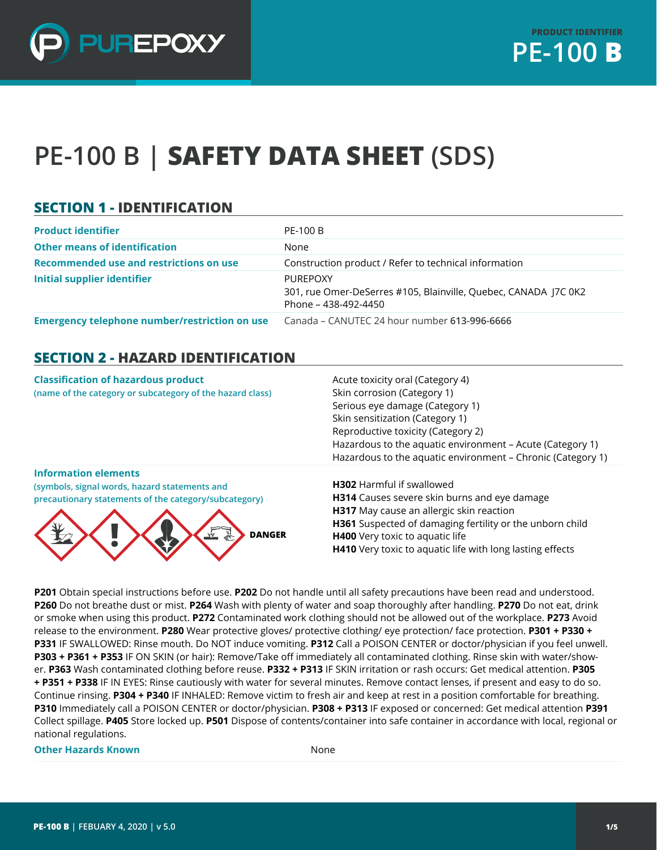

# **PE-100 B | SAFETY DATA SHEET (SDS)**

### **SECTION 1 - IDENTIFICATION**

| <b>Product identifier</b>                            | PE-100 B                                                                                                   |
|------------------------------------------------------|------------------------------------------------------------------------------------------------------------|
| <b>Other means of identification</b>                 | None                                                                                                       |
| Recommended use and restrictions on use              | Construction product / Refer to technical information                                                      |
| <b>Initial supplier identifier</b>                   | <b>PUREPOXY</b><br>301, rue Omer-DeSerres #105, Blainville, Quebec, CANADA J7C 0K2<br>Phone – 438-492-4450 |
| <b>Emergency telephone number/restriction on use</b> | Canada – CANUTEC 24 hour number 613-996-6666                                                               |

#### **SECTION 2 - HAZARD IDENTIFICATION**

| <b>Classification of hazardous product</b><br>(name of the category or subcategory of the hazard class)                                                               | Acute toxicity oral (Category 4)<br>Skin corrosion (Category 1)<br>Serious eye damage (Category 1)<br>Skin sensitization (Category 1)<br>Reproductive toxicity (Category 2)<br>Hazardous to the aquatic environment - Acute (Category 1)<br>Hazardous to the aquatic environment - Chronic (Category 1) |
|-----------------------------------------------------------------------------------------------------------------------------------------------------------------------|---------------------------------------------------------------------------------------------------------------------------------------------------------------------------------------------------------------------------------------------------------------------------------------------------------|
| <b>Information elements</b><br>(symbols, signal words, hazard statements and<br>precautionary statements of the category/subcategory)<br><b>DANGER</b><br><u>ينيد</u> | <b>H302</b> Harmful if swallowed<br>H314 Causes severe skin burns and eye damage<br>H317 May cause an allergic skin reaction<br>H361 Suspected of damaging fertility or the unborn child<br>H400 Very toxic to aquatic life<br>H410 Very toxic to aquatic life with long lasting effects                |

**P201** Obtain special instructions before use. **P202** Do not handle until all safety precautions have been read and understood. **P260** Do not breathe dust or mist. **P264** Wash with plenty of water and soap thoroughly after handling. **P270** Do not eat, drink or smoke when using this product. **P272** Contaminated work clothing should not be allowed out of the workplace. **P273** Avoid release to the environment. **P280** Wear protective gloves/ protective clothing/ eye protection/ face protection. **P301 + P330 + P331** IF SWALLOWED: Rinse mouth. Do NOT induce vomiting. **P312** Call a POISON CENTER or doctor/physician if you feel unwell. **P303 + P361 + P353** IF ON SKIN (or hair): Remove/Take off immediately all contaminated clothing. Rinse skin with water/shower. **P363** Wash contaminated clothing before reuse. **P332 + P313** IF SKIN irritation or rash occurs: Get medical attention. **P305 + P351 + P338** IF IN EYES: Rinse cautiously with water for several minutes. Remove contact lenses, if present and easy to do so. Continue rinsing. **P304 + P340** IF INHALED: Remove victim to fresh air and keep at rest in a position comfortable for breathing. **P310** Immediately call a POISON CENTER or doctor/physician. **P308 + P313** IF exposed or concerned: Get medical attention **P391**  Collect spillage. **P405** Store locked up. **P501** Dispose of contents/container into safe container in accordance with local, regional or national regulations.

**Other Hazards Known** None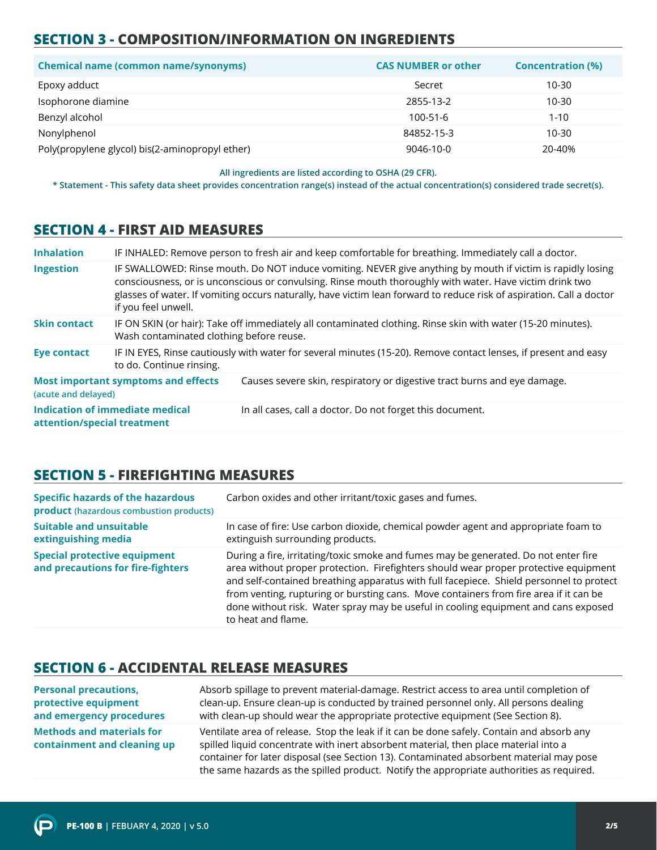## **SECTION 3 - COMPOSITION/INFORMATION ON INGREDIENTS**

| <b>Chemical name (common name/synonyms)</b>     | <b>CAS NUMBER or other</b> | <b>Concentration (%)</b> |
|-------------------------------------------------|----------------------------|--------------------------|
| Epoxy adduct                                    | Secret                     | 10-30                    |
| Isophorone diamine                              | 2855-13-2                  | 10-30                    |
| Benzyl alcohol                                  | 100-51-6                   | $1 - 10$                 |
| Nonylphenol                                     | 84852-15-3                 | $10 - 30$                |
| Poly(propylene glycol) bis(2-aminopropyl ether) | 9046-10-0                  | 20-40%                   |

**All ingredients are listed according to OSHA (29 CFR).**

**\* Statement - This safety data sheet provides concentration range(s) instead of the actual concentration(s) considered trade secret(s).**

#### **SECTION 4 - FIRST AID MEASURES**

| <b>Inhalation</b>           |                                            | IF INHALED: Remove person to fresh air and keep comfortable for breathing. Immediately call a doctor.                                                                                                                                                                                                                                           |
|-----------------------------|--------------------------------------------|-------------------------------------------------------------------------------------------------------------------------------------------------------------------------------------------------------------------------------------------------------------------------------------------------------------------------------------------------|
| Ingestion                   | if you feel unwell.                        | IF SWALLOWED: Rinse mouth. Do NOT induce vomiting. NEVER give anything by mouth if victim is rapidly losing<br>consciousness, or is unconscious or convulsing. Rinse mouth thoroughly with water. Have victim drink two<br>glasses of water. If vomiting occurs naturally, have victim lean forward to reduce risk of aspiration. Call a doctor |
| <b>Skin contact</b>         | Wash contaminated clothing before reuse.   | IF ON SKIN (or hair): Take off immediately all contaminated clothing. Rinse skin with water (15-20 minutes).                                                                                                                                                                                                                                    |
| <b>Eye contact</b>          | to do. Continue rinsing.                   | IF IN EYES, Rinse cautiously with water for several minutes (15-20). Remove contact lenses, if present and easy                                                                                                                                                                                                                                 |
| (acute and delayed)         | <b>Most important symptoms and effects</b> | Causes severe skin, respiratory or digestive tract burns and eye damage.                                                                                                                                                                                                                                                                        |
| attention/special treatment | <b>Indication of immediate medical</b>     | In all cases, call a doctor. Do not forget this document.                                                                                                                                                                                                                                                                                       |

#### **SECTION 5 - FIREFIGHTING MEASURES**

| <b>Specific hazards of the hazardous</b><br>product (hazardous combustion products) | Carbon oxides and other irritant/toxic gases and fumes.                                                                                                                                                                                                                                                                                                                                                                                                                     |
|-------------------------------------------------------------------------------------|-----------------------------------------------------------------------------------------------------------------------------------------------------------------------------------------------------------------------------------------------------------------------------------------------------------------------------------------------------------------------------------------------------------------------------------------------------------------------------|
| <b>Suitable and unsuitable</b><br>extinguishing media                               | In case of fire: Use carbon dioxide, chemical powder agent and appropriate foam to<br>extinguish surrounding products.                                                                                                                                                                                                                                                                                                                                                      |
| <b>Special protective equipment</b><br>and precautions for fire-fighters            | During a fire, irritating/toxic smoke and fumes may be generated. Do not enter fire<br>area without proper protection. Firefighters should wear proper protective equipment<br>and self-contained breathing apparatus with full facepiece. Shield personnel to protect<br>from venting, rupturing or bursting cans. Move containers from fire area if it can be<br>done without risk. Water spray may be useful in cooling equipment and cans exposed<br>to heat and flame. |

#### **SECTION 6 - ACCIDENTAL RELEASE MEASURES**

| <b>Personal precautions,</b>                                    | Absorb spillage to prevent material-damage. Restrict access to area until completion of                                                                                                                                                                                                                                                                                  |
|-----------------------------------------------------------------|--------------------------------------------------------------------------------------------------------------------------------------------------------------------------------------------------------------------------------------------------------------------------------------------------------------------------------------------------------------------------|
| protective equipment                                            | clean-up. Ensure clean-up is conducted by trained personnel only. All persons dealing                                                                                                                                                                                                                                                                                    |
| and emergency procedures                                        | with clean-up should wear the appropriate protective equipment (See Section 8).                                                                                                                                                                                                                                                                                          |
| <b>Methods and materials for</b><br>containment and cleaning up | Ventilate area of release. Stop the leak if it can be done safely. Contain and absorb any<br>spilled liquid concentrate with inert absorbent material, then place material into a<br>container for later disposal (see Section 13). Contaminated absorbent material may pose<br>the same hazards as the spilled product. Notify the appropriate authorities as required. |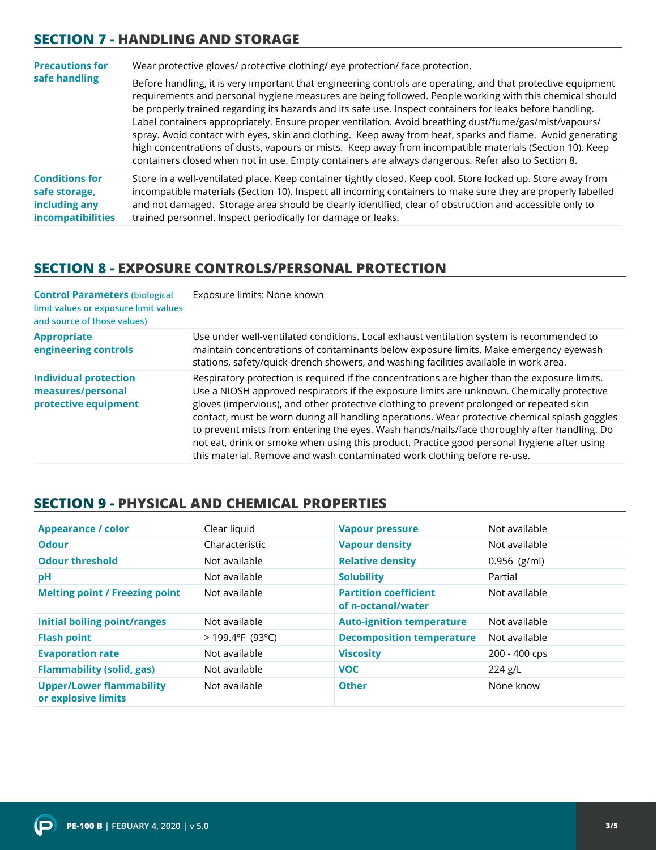#### **SECTION 7 - HANDLING AND STORAGE**

| <b>Precautions for</b>                                                              | Wear protective gloves/ protective clothing/ eye protection/ face protection.                                                                                                                                                                                                                                                                                                                                                                                                                                                                                                                                                                                                                                                                                                  |  |
|-------------------------------------------------------------------------------------|--------------------------------------------------------------------------------------------------------------------------------------------------------------------------------------------------------------------------------------------------------------------------------------------------------------------------------------------------------------------------------------------------------------------------------------------------------------------------------------------------------------------------------------------------------------------------------------------------------------------------------------------------------------------------------------------------------------------------------------------------------------------------------|--|
| safe handling                                                                       | Before handling, it is very important that engineering controls are operating, and that protective equipment<br>requirements and personal hygiene measures are being followed. People working with this chemical should<br>be properly trained regarding its hazards and its safe use. Inspect containers for leaks before handling.<br>Label containers appropriately. Ensure proper ventilation. Avoid breathing dust/fume/gas/mist/vapours/<br>spray. Avoid contact with eyes, skin and clothing. Keep away from heat, sparks and flame. Avoid generating<br>high concentrations of dusts, vapours or mists. Keep away from incompatible materials (Section 10). Keep<br>containers closed when not in use. Empty containers are always dangerous. Refer also to Section 8. |  |
| <b>Conditions for</b><br>safe storage,<br>including any<br><b>incompatibilities</b> | Store in a well-ventilated place. Keep container tightly closed. Keep cool. Store locked up. Store away from<br>incompatible materials (Section 10). Inspect all incoming containers to make sure they are properly labelled<br>and not damaged. Storage area should be clearly identified, clear of obstruction and accessible only to<br>trained personnel. Inspect periodically for damage or leaks.                                                                                                                                                                                                                                                                                                                                                                        |  |

#### **SECTION 8 - EXPOSURE CONTROLS/PERSONAL PROTECTION**

| <b>Control Parameters (biological</b><br>limit values or exposure limit values<br>and source of those values) | Exposure limits: None known                                                                                                                                                                                                                                                                                                                                                                                                                                                                                                                                                                                                                                         |
|---------------------------------------------------------------------------------------------------------------|---------------------------------------------------------------------------------------------------------------------------------------------------------------------------------------------------------------------------------------------------------------------------------------------------------------------------------------------------------------------------------------------------------------------------------------------------------------------------------------------------------------------------------------------------------------------------------------------------------------------------------------------------------------------|
| <b>Appropriate</b><br>engineering controls                                                                    | Use under well-ventilated conditions. Local exhaust ventilation system is recommended to<br>maintain concentrations of contaminants below exposure limits. Make emergency eyewash<br>stations, safety/quick-drench showers, and washing facilities available in work area.                                                                                                                                                                                                                                                                                                                                                                                          |
| <b>Individual protection</b><br>measures/personal<br>protective equipment                                     | Respiratory protection is required if the concentrations are higher than the exposure limits.<br>Use a NIOSH approved respirators if the exposure limits are unknown. Chemically protective<br>gloves (impervious), and other protective clothing to prevent prolonged or repeated skin<br>contact, must be worn during all handling operations. Wear protective chemical splash goggles<br>to prevent mists from entering the eyes. Wash hands/nails/face thoroughly after handling. Do<br>not eat, drink or smoke when using this product. Practice good personal hygiene after using<br>this material. Remove and wash contaminated work clothing before re-use. |

#### **SECTION 9 - PHYSICAL AND CHEMICAL PROPERTIES**

| <b>Appearance / color</b>                              | Clear liquid       | <b>Vapour pressure</b>                             | Not available  |
|--------------------------------------------------------|--------------------|----------------------------------------------------|----------------|
| <b>Odour</b>                                           | Characteristic     | <b>Vapour density</b>                              | Not available  |
| <b>Odour threshold</b>                                 | Not available      | <b>Relative density</b>                            | $0.956$ (g/ml) |
| рH                                                     | Not available      | <b>Solubility</b>                                  | Partial        |
| <b>Melting point / Freezing point</b>                  | Not available      | <b>Partition coefficient</b><br>of n-octanol/water | Not available  |
| <b>Initial boiling point/ranges</b>                    | Not available      | <b>Auto-ignition temperature</b>                   | Not available  |
| <b>Flash point</b>                                     | $>$ 199.4°F (93°C) | <b>Decomposition temperature</b>                   | Not available  |
| <b>Evaporation rate</b>                                | Not available      | <b>Viscosity</b>                                   | 200 - 400 cps  |
| <b>Flammability (solid, gas)</b>                       | Not available      | <b>VOC</b>                                         | $224$ g/L      |
| <b>Upper/Lower flammability</b><br>or explosive limits | Not available      | <b>Other</b>                                       | None know      |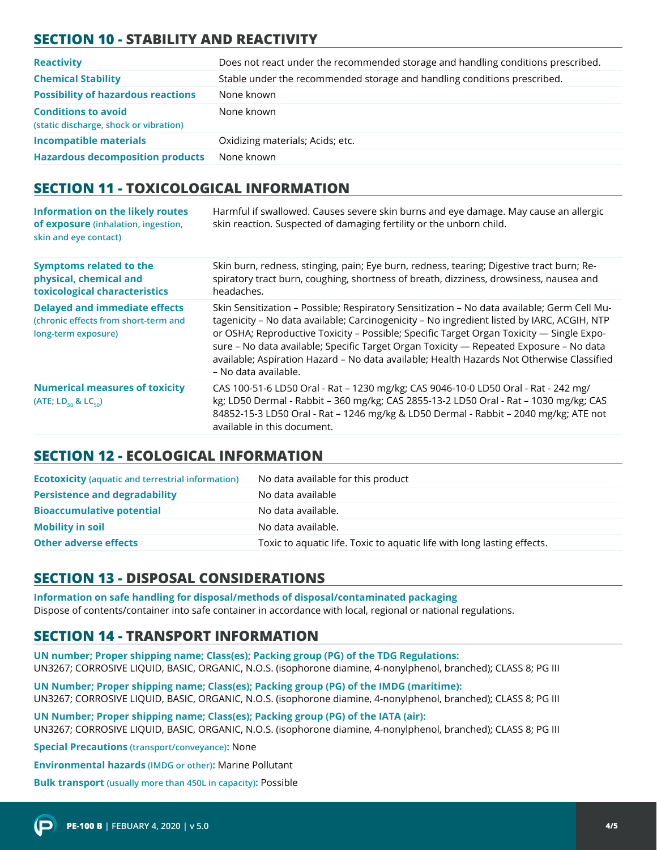# **SECTION 10 - STABILITY AND REACTIVITY**

| <b>Reactivity</b>                                                    | Does not react under the recommended storage and handling conditions prescribed. |
|----------------------------------------------------------------------|----------------------------------------------------------------------------------|
| <b>Chemical Stability</b>                                            | Stable under the recommended storage and handling conditions prescribed.         |
| <b>Possibility of hazardous reactions</b>                            | None known                                                                       |
| <b>Conditions to avoid</b><br>(static discharge, shock or vibration) | None known                                                                       |
| <b>Incompatible materials</b>                                        | Oxidizing materials; Acids; etc.                                                 |
| <b>Hazardous decomposition products</b>                              | None known                                                                       |

#### **SECTION 11 - TOXICOLOGICAL INFORMATION**

| Information on the likely routes<br>of exposure (inhalation, ingestion,<br>skin and eye contact)    | Harmful if swallowed. Causes severe skin burns and eye damage. May cause an allergic<br>skin reaction. Suspected of damaging fertility or the unborn child.                                                                                                                                                                                                                                                                                                                                          |
|-----------------------------------------------------------------------------------------------------|------------------------------------------------------------------------------------------------------------------------------------------------------------------------------------------------------------------------------------------------------------------------------------------------------------------------------------------------------------------------------------------------------------------------------------------------------------------------------------------------------|
| <b>Symptoms related to the</b><br>physical, chemical and<br>toxicological characteristics           | Skin burn, redness, stinging, pain; Eye burn, redness, tearing; Digestive tract burn; Re-<br>spiratory tract burn, coughing, shortness of breath, dizziness, drowsiness, nausea and<br>headaches.                                                                                                                                                                                                                                                                                                    |
| <b>Delayed and immediate effects</b><br>(chronic effects from short-term and<br>long-term exposure) | Skin Sensitization - Possible; Respiratory Sensitization - No data available; Germ Cell Mu-<br>tagenicity - No data available; Carcinogenicity - No ingredient listed by IARC, ACGIH, NTP<br>or OSHA; Reproductive Toxicity - Possible; Specific Target Organ Toxicity - Single Expo-<br>sure - No data available; Specific Target Organ Toxicity - Repeated Exposure - No data<br>available; Aspiration Hazard - No data available; Health Hazards Not Otherwise Classified<br>- No data available. |
| <b>Numerical measures of toxicity</b><br>(ATE; $LD_{50}$ & $LC_{50}$ )                              | CAS 100-51-6 LD50 Oral - Rat - 1230 mg/kg; CAS 9046-10-0 LD50 Oral - Rat - 242 mg/<br>kg; LD50 Dermal - Rabbit - 360 mg/kg; CAS 2855-13-2 LD50 Oral - Rat - 1030 mg/kg; CAS<br>84852-15-3 LD50 Oral - Rat - 1246 mg/kg & LD50 Dermal - Rabbit - 2040 mg/kg; ATE not<br>available in this document.                                                                                                                                                                                                   |

## **SECTION 12 - ECOLOGICAL INFORMATION**

| <b>Ecotoxicity</b> (aquatic and terrestrial information) | No data available for this product                                      |
|----------------------------------------------------------|-------------------------------------------------------------------------|
| <b>Persistence and degradability</b>                     | No data available                                                       |
| <b>Bioaccumulative potential</b>                         | No data available.                                                      |
| <b>Mobility in soil</b>                                  | No data available.                                                      |
| <b>Other adverse effects</b>                             | Toxic to aquatic life. Toxic to aquatic life with long lasting effects. |

## **SECTION 13 - DISPOSAL CONSIDERATIONS**

**Information on safe handling for disposal/methods of disposal/contaminated packaging**  Dispose of contents/container into safe container in accordance with local, regional or national regulations.

## **SECTION 14 - TRANSPORT INFORMATION**

**UN number; Proper shipping name; Class(es); Packing group (PG) of the TDG Regulations:** UN3267; CORROSIVE LIQUID, BASIC, ORGANIC, N.O.S. (isophorone diamine, 4-nonylphenol, branched); CLASS 8; PG III

**UN Number; Proper shipping name; Class(es); Packing group (PG) of the IMDG (maritime):** UN3267; CORROSIVE LIQUID, BASIC, ORGANIC, N.O.S. (isophorone diamine, 4-nonylphenol, branched); CLASS 8; PG III

**UN Number; Proper shipping name; Class(es); Packing group (PG) of the IATA (air):** UN3267; CORROSIVE LIQUID, BASIC, ORGANIC, N.O.S. (isophorone diamine, 4-nonylphenol, branched); CLASS 8; PG III

**Special Precautions (transport/conveyance):** None

**Environmental hazards (IMDG or other):** Marine Pollutant

**Bulk transport (usually more than 450L in capacity):** Possible